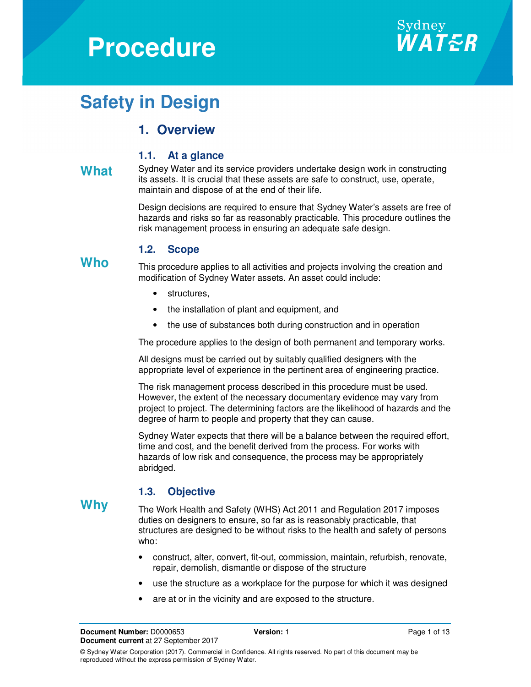# **Procedure**



## **Safety in Design**

## **1. Overview**

#### **1.1. At a glance**

What Sydney Water and its service providers undertake design work in constructing its assets. It is crucial that these assets are safe to construct, use, operate, maintain and dispose of at the end of their life.

> Design decisions are required to ensure that Sydney Water's assets are free of hazards and risks so far as reasonably practicable. This procedure outlines the risk management process in ensuring an adequate safe design.

#### **1.2. Scope**

**Who** This procedure applies to all activities and projects involving the creation and modification of Sydney Water assets. An asset could include:

- structures,
- the installation of plant and equipment, and
- the use of substances both during construction and in operation

The procedure applies to the design of both permanent and temporary works.

All designs must be carried out by suitably qualified designers with the appropriate level of experience in the pertinent area of engineering practice.

The risk management process described in this procedure must be used. However, the extent of the necessary documentary evidence may vary from project to project. The determining factors are the likelihood of hazards and the degree of harm to people and property that they can cause.

Sydney Water expects that there will be a balance between the required effort, time and cost, and the benefit derived from the process. For works with hazards of low risk and consequence, the process may be appropriately abridged.

#### **1.3. Objective**

**Why** The Work Health and Safety (WHS) Act 2011 and Regulation 2017 imposes duties on designers to ensure, so far as is reasonably practicable, that structures are designed to be without risks to the health and safety of persons who:

- construct, alter, convert, fit-out, commission, maintain, refurbish, renovate, repair, demolish, dismantle or dispose of the structure
- use the structure as a workplace for the purpose for which it was designed
- are at or in the vicinity and are exposed to the structure.

**Document Number:** D0000653 **Version:** 1 **Version:** 1 **Page 1 of 13 Document current** at 27 September 2017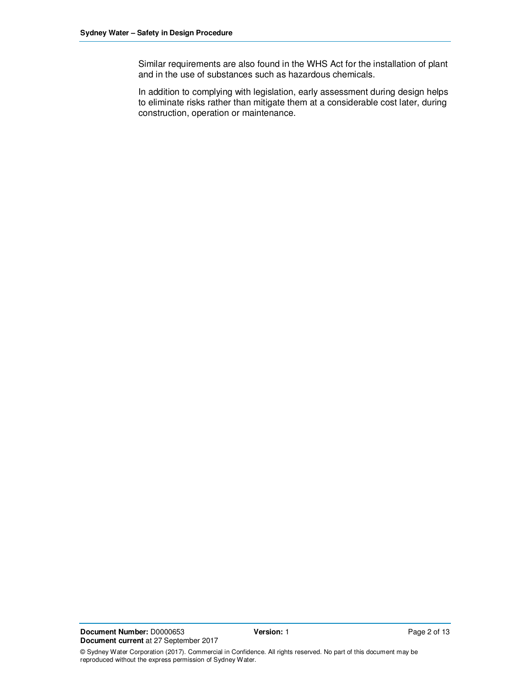Similar requirements are also found in the WHS Act for the installation of plant and in the use of substances such as hazardous chemicals.

In addition to complying with legislation, early assessment during design helps to eliminate risks rather than mitigate them at a considerable cost later, during construction, operation or maintenance.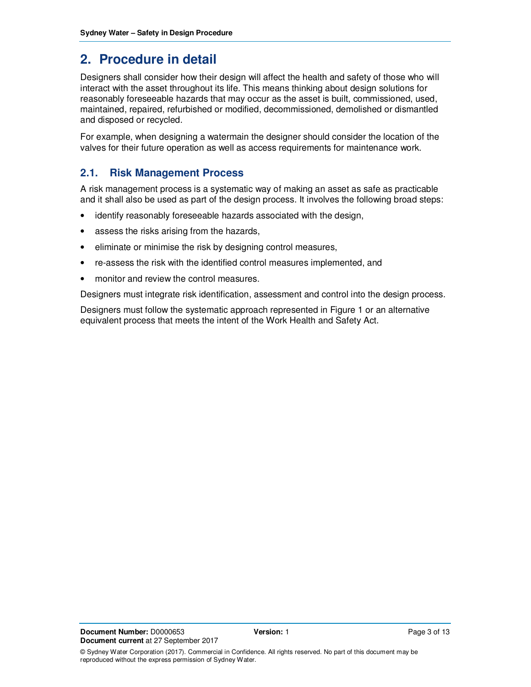## **2. Procedure in detail**

Designers shall consider how their design will affect the health and safety of those who will interact with the asset throughout its life. This means thinking about design solutions for reasonably foreseeable hazards that may occur as the asset is built, commissioned, used, maintained, repaired, refurbished or modified, decommissioned, demolished or dismantled and disposed or recycled.

For example, when designing a watermain the designer should consider the location of the valves for their future operation as well as access requirements for maintenance work.

#### **2.1. Risk Management Process**

A risk management process is a systematic way of making an asset as safe as practicable and it shall also be used as part of the design process. It involves the following broad steps:

- identify reasonably foreseeable hazards associated with the design,
- assess the risks arising from the hazards,
- eliminate or minimise the risk by designing control measures,
- re-assess the risk with the identified control measures implemented, and
- monitor and review the control measures.

Designers must integrate risk identification, assessment and control into the design process.

Designers must follow the systematic approach represented in Figure 1 or an alternative equivalent process that meets the intent of the Work Health and Safety Act.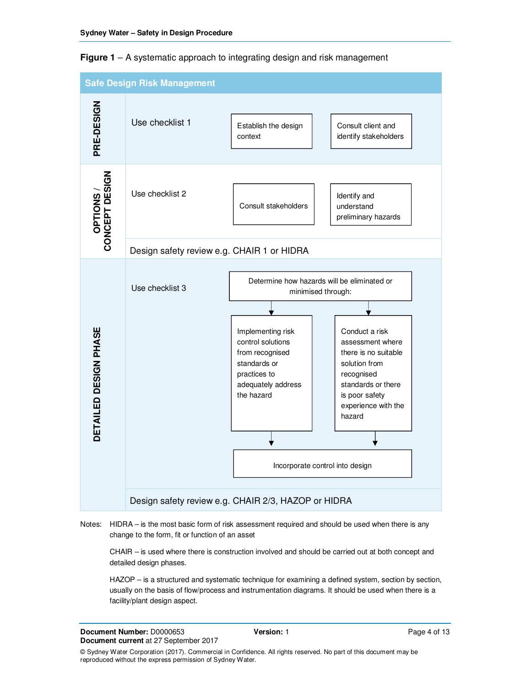



#### Notes: HIDRA – is the most basic form of risk assessment required and should be used when there is any change to the form, fit or function of an asset

CHAIR – is used where there is construction involved and should be carried out at both concept and detailed design phases.

HAZOP – is a structured and systematic technique for examining a defined system, section by section, usually on the basis of flow/process and instrumentation diagrams. It should be used when there is a facility/plant design aspect.

**Document Number:** D0000653 **Version:** 1 **Version:** 1 **Page 4 of 13 Document current** at 27 September 2017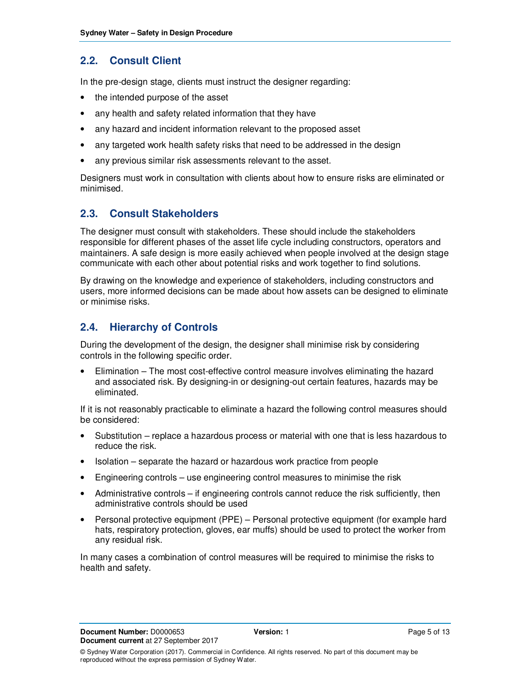## **2.2. Consult Client**

In the pre-design stage, clients must instruct the designer regarding:

- the intended purpose of the asset
- any health and safety related information that they have
- any hazard and incident information relevant to the proposed asset
- any targeted work health safety risks that need to be addressed in the design
- any previous similar risk assessments relevant to the asset.

Designers must work in consultation with clients about how to ensure risks are eliminated or minimised.

## **2.3. Consult Stakeholders**

The designer must consult with stakeholders. These should include the stakeholders responsible for different phases of the asset life cycle including constructors, operators and maintainers. A safe design is more easily achieved when people involved at the design stage communicate with each other about potential risks and work together to find solutions.

By drawing on the knowledge and experience of stakeholders, including constructors and users, more informed decisions can be made about how assets can be designed to eliminate or minimise risks.

#### **2.4. Hierarchy of Controls**

During the development of the design, the designer shall minimise risk by considering controls in the following specific order.

• Elimination – The most cost-effective control measure involves eliminating the hazard and associated risk. By designing-in or designing-out certain features, hazards may be eliminated.

If it is not reasonably practicable to eliminate a hazard the following control measures should be considered:

- Substitution replace a hazardous process or material with one that is less hazardous to reduce the risk.
- Isolation separate the hazard or hazardous work practice from people
- Engineering controls use engineering control measures to minimise the risk
- Administrative controls if engineering controls cannot reduce the risk sufficiently, then administrative controls should be used
- Personal protective equipment (PPE) Personal protective equipment (for example hard hats, respiratory protection, gloves, ear muffs) should be used to protect the worker from any residual risk.

In many cases a combination of control measures will be required to minimise the risks to health and safety.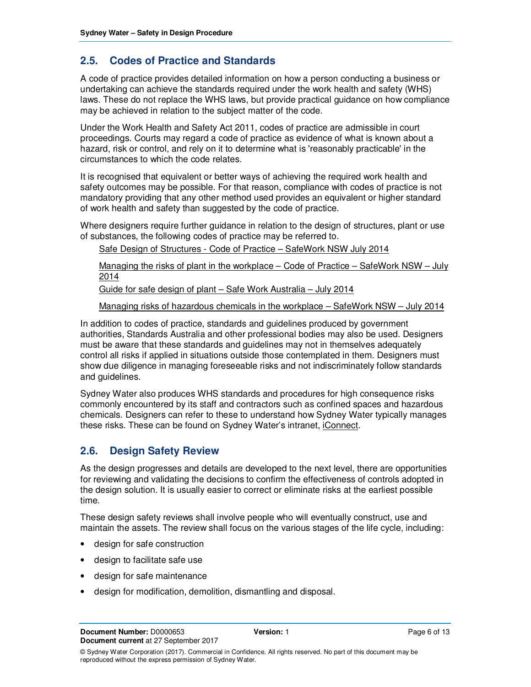## **2.5. Codes of Practice and Standards**

A code of practice provides detailed information on how a person conducting a business or undertaking can achieve the standards required under the work health and safety (WHS) laws. These do not replace the WHS laws, but provide practical guidance on how compliance may be achieved in relation to the subject matter of the code.

Under the Work Health and Safety Act 2011, codes of practice are admissible in court proceedings. Courts may regard a code of practice as evidence of what is known about a hazard, risk or control, and rely on it to determine what is 'reasonably practicable' in the circumstances to which the code relates.

It is recognised that equivalent or better ways of achieving the required work health and safety outcomes may be possible. For that reason, compliance with codes of practice is not mandatory providing that any other method used provides an equivalent or higher standard of work health and safety than suggested by the code of practice.

Where designers require further guidance in relation to the design of structures, plant or use of substances, the following codes of practice may be referred to.

Safe Design of Structures - Code of Practice – SafeWork NSW July 2014

Managing the risks of plant in the workplace – Code of Practice – SafeWork NSW – July 2014

Guide for safe design of plant – Safe Work Australia – July 2014

Managing risks of hazardous chemicals in the workplace – SafeWork NSW – July 2014

In addition to codes of practice, standards and guidelines produced by government authorities, Standards Australia and other professional bodies may also be used. Designers must be aware that these standards and guidelines may not in themselves adequately control all risks if applied in situations outside those contemplated in them. Designers must show due diligence in managing foreseeable risks and not indiscriminately follow standards and guidelines.

Sydney Water also produces WHS standards and procedures for high consequence risks commonly encountered by its staff and contractors such as confined spaces and hazardous chemicals. Designers can refer to these to understand how Sydney Water typically manages these risks. These can be found on Sydney Water's intranet, iConnect.

## **2.6. Design Safety Review**

As the design progresses and details are developed to the next level, there are opportunities for reviewing and validating the decisions to confirm the effectiveness of controls adopted in the design solution. It is usually easier to correct or eliminate risks at the earliest possible time.

These design safety reviews shall involve people who will eventually construct, use and maintain the assets. The review shall focus on the various stages of the life cycle, including:

- design for safe construction
- design to facilitate safe use
- design for safe maintenance
- design for modification, demolition, dismantling and disposal.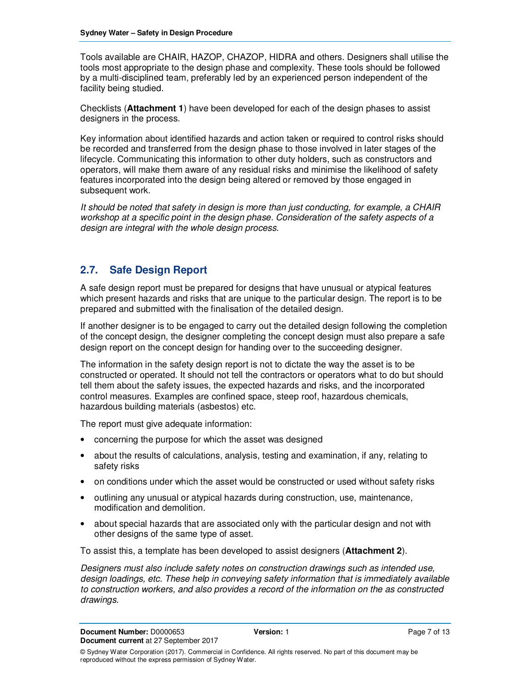Tools available are CHAIR, HAZOP, CHAZOP, HIDRA and others. Designers shall utilise the tools most appropriate to the design phase and complexity. These tools should be followed by a multi-disciplined team, preferably led by an experienced person independent of the facility being studied.

Checklists (**Attachment 1**) have been developed for each of the design phases to assist designers in the process.

Key information about identified hazards and action taken or required to control risks should be recorded and transferred from the design phase to those involved in later stages of the lifecycle. Communicating this information to other duty holders, such as constructors and operators, will make them aware of any residual risks and minimise the likelihood of safety features incorporated into the design being altered or removed by those engaged in subsequent work.

It should be noted that safety in design is more than just conducting, for example, a CHAIR workshop at a specific point in the design phase. Consideration of the safety aspects of a design are integral with the whole design process.

## **2.7. Safe Design Report**

A safe design report must be prepared for designs that have unusual or atypical features which present hazards and risks that are unique to the particular design. The report is to be prepared and submitted with the finalisation of the detailed design.

If another designer is to be engaged to carry out the detailed design following the completion of the concept design, the designer completing the concept design must also prepare a safe design report on the concept design for handing over to the succeeding designer.

The information in the safety design report is not to dictate the way the asset is to be constructed or operated. It should not tell the contractors or operators what to do but should tell them about the safety issues, the expected hazards and risks, and the incorporated control measures. Examples are confined space, steep roof, hazardous chemicals, hazardous building materials (asbestos) etc.

The report must give adequate information:

- concerning the purpose for which the asset was designed
- about the results of calculations, analysis, testing and examination, if any, relating to safety risks
- on conditions under which the asset would be constructed or used without safety risks
- outlining any unusual or atypical hazards during construction, use, maintenance, modification and demolition.
- about special hazards that are associated only with the particular design and not with other designs of the same type of asset.

To assist this, a template has been developed to assist designers (**Attachment 2**).

Designers must also include safety notes on construction drawings such as intended use, design loadings, etc. These help in conveying safety information that is immediately available to construction workers, and also provides a record of the information on the as constructed drawings.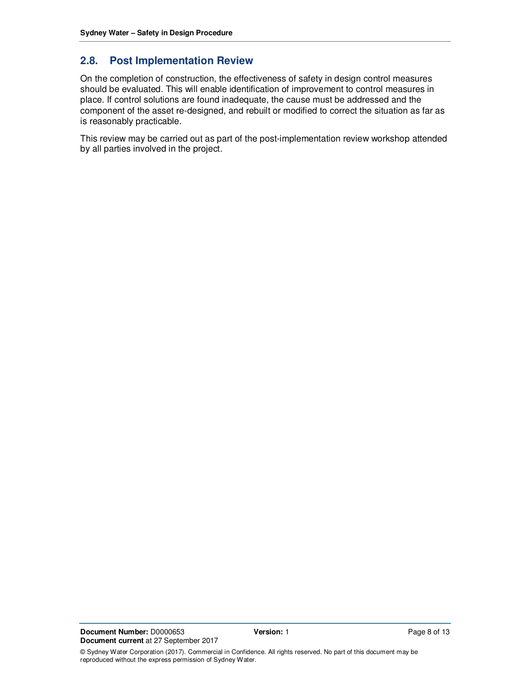## **2.8. Post Implementation Review**

On the completion of construction, the effectiveness of safety in design control measures should be evaluated. This will enable identification of improvement to control measures in place. If control solutions are found inadequate, the cause must be addressed and the component of the asset re-designed, and rebuilt or modified to correct the situation as far as is reasonably practicable.

This review may be carried out as part of the post-implementation review workshop attended by all parties involved in the project.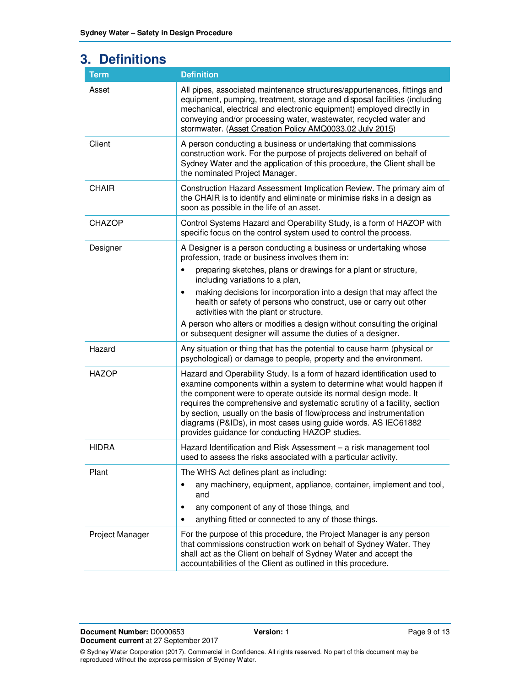| <b>3. Definitions</b> |                                                                                                                                                                                                                                                                                                                                                                                                                                                                                                |  |
|-----------------------|------------------------------------------------------------------------------------------------------------------------------------------------------------------------------------------------------------------------------------------------------------------------------------------------------------------------------------------------------------------------------------------------------------------------------------------------------------------------------------------------|--|
| <b>Term</b>           | <b>Definition</b>                                                                                                                                                                                                                                                                                                                                                                                                                                                                              |  |
| Asset                 | All pipes, associated maintenance structures/appurtenances, fittings and<br>equipment, pumping, treatment, storage and disposal facilities (including<br>mechanical, electrical and electronic equipment) employed directly in<br>conveying and/or processing water, wastewater, recycled water and<br>stormwater. (Asset Creation Policy AMQ0033.02 July 2015)                                                                                                                                |  |
| Client                | A person conducting a business or undertaking that commissions<br>construction work. For the purpose of projects delivered on behalf of<br>Sydney Water and the application of this procedure, the Client shall be<br>the nominated Project Manager.                                                                                                                                                                                                                                           |  |
| <b>CHAIR</b>          | Construction Hazard Assessment Implication Review. The primary aim of<br>the CHAIR is to identify and eliminate or minimise risks in a design as<br>soon as possible in the life of an asset.                                                                                                                                                                                                                                                                                                  |  |
| <b>CHAZOP</b>         | Control Systems Hazard and Operability Study, is a form of HAZOP with<br>specific focus on the control system used to control the process.                                                                                                                                                                                                                                                                                                                                                     |  |
| Designer              | A Designer is a person conducting a business or undertaking whose<br>profession, trade or business involves them in:                                                                                                                                                                                                                                                                                                                                                                           |  |
|                       | preparing sketches, plans or drawings for a plant or structure,<br>$\bullet$<br>including variations to a plan,                                                                                                                                                                                                                                                                                                                                                                                |  |
|                       | making decisions for incorporation into a design that may affect the<br>$\bullet$<br>health or safety of persons who construct, use or carry out other<br>activities with the plant or structure.                                                                                                                                                                                                                                                                                              |  |
|                       | A person who alters or modifies a design without consulting the original<br>or subsequent designer will assume the duties of a designer.                                                                                                                                                                                                                                                                                                                                                       |  |
| Hazard                | Any situation or thing that has the potential to cause harm (physical or<br>psychological) or damage to people, property and the environment.                                                                                                                                                                                                                                                                                                                                                  |  |
| <b>HAZOP</b>          | Hazard and Operability Study. Is a form of hazard identification used to<br>examine components within a system to determine what would happen if<br>the component were to operate outside its normal design mode. It<br>requires the comprehensive and systematic scrutiny of a facility, section<br>by section, usually on the basis of flow/process and instrumentation<br>diagrams (P&IDs), in most cases using guide words. AS IEC61882<br>provides guidance for conducting HAZOP studies. |  |
| <b>HIDRA</b>          | Hazard Identification and Risk Assessment - a risk management tool<br>used to assess the risks associated with a particular activity.                                                                                                                                                                                                                                                                                                                                                          |  |
| Plant                 | The WHS Act defines plant as including:                                                                                                                                                                                                                                                                                                                                                                                                                                                        |  |
|                       | any machinery, equipment, appliance, container, implement and tool,<br>$\bullet$<br>and                                                                                                                                                                                                                                                                                                                                                                                                        |  |
|                       | any component of any of those things, and<br>٠                                                                                                                                                                                                                                                                                                                                                                                                                                                 |  |
|                       | anything fitted or connected to any of those things.<br>$\bullet$                                                                                                                                                                                                                                                                                                                                                                                                                              |  |
| Project Manager       | For the purpose of this procedure, the Project Manager is any person<br>that commissions construction work on behalf of Sydney Water. They<br>shall act as the Client on behalf of Sydney Water and accept the<br>accountabilities of the Client as outlined in this procedure.                                                                                                                                                                                                                |  |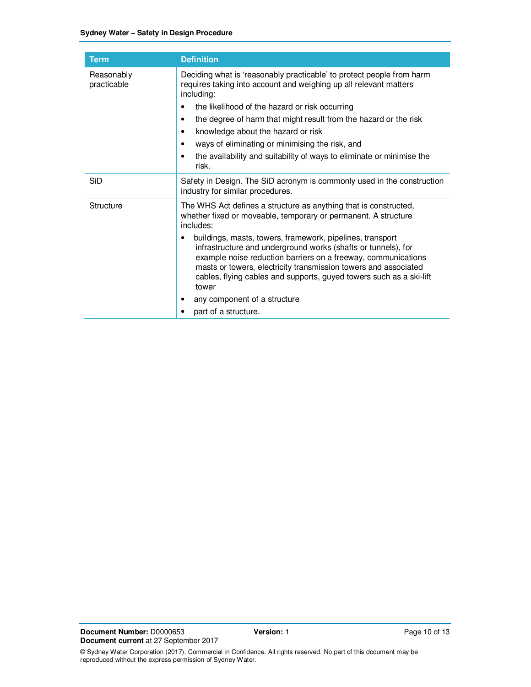| <b>Term</b>               | <b>Definition</b>                                                                                                                                                                                                                                                                                                                                                                                                                                                                                                                      |  |
|---------------------------|----------------------------------------------------------------------------------------------------------------------------------------------------------------------------------------------------------------------------------------------------------------------------------------------------------------------------------------------------------------------------------------------------------------------------------------------------------------------------------------------------------------------------------------|--|
| Reasonably<br>practicable | Deciding what is 'reasonably practicable' to protect people from harm<br>requires taking into account and weighing up all relevant matters<br>including:<br>the likelihood of the hazard or risk occurring<br>٠<br>the degree of harm that might result from the hazard or the risk<br>$\bullet$<br>knowledge about the hazard or risk<br>٠<br>ways of eliminating or minimising the risk, and<br>٠<br>the availability and suitability of ways to eliminate or minimise the<br>$\bullet$<br>risk.                                     |  |
| SiD                       | Safety in Design. The SiD acronym is commonly used in the construction<br>industry for similar procedures.                                                                                                                                                                                                                                                                                                                                                                                                                             |  |
| Structure                 | The WHS Act defines a structure as anything that is constructed,<br>whether fixed or moveable, temporary or permanent. A structure<br>includes:<br>buildings, masts, towers, framework, pipelines, transport<br>infrastructure and underground works (shafts or tunnels), for<br>example noise reduction barriers on a freeway, communications<br>masts or towers, electricity transmission towers and associated<br>cables, flying cables and supports, guyed towers such as a ski-lift<br>tower<br>any component of a structure<br>٠ |  |
|                           | part of a structure.                                                                                                                                                                                                                                                                                                                                                                                                                                                                                                                   |  |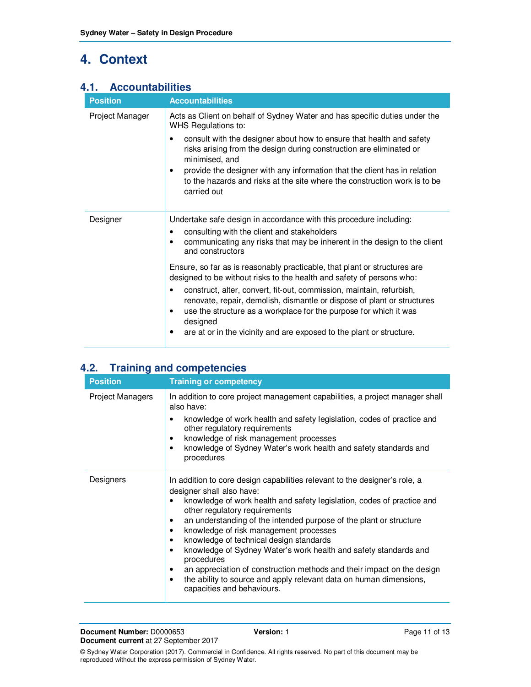## **4. Context**

## **4.1. Accountabilities**

| <b>Position</b> | <b>Accountabilities</b>                                                                                                                                                                                                                                                                                                                                                                                                                                                  |  |  |
|-----------------|--------------------------------------------------------------------------------------------------------------------------------------------------------------------------------------------------------------------------------------------------------------------------------------------------------------------------------------------------------------------------------------------------------------------------------------------------------------------------|--|--|
| Project Manager | Acts as Client on behalf of Sydney Water and has specific duties under the<br>WHS Regulations to:<br>consult with the designer about how to ensure that health and safety<br>$\bullet$<br>risks arising from the design during construction are eliminated or<br>minimised, and<br>provide the designer with any information that the client has in relation<br>٠<br>to the hazards and risks at the site where the construction work is to be<br>carried out            |  |  |
| Designer        | Undertake safe design in accordance with this procedure including:<br>consulting with the client and stakeholders<br>communicating any risks that may be inherent in the design to the client<br>and constructors                                                                                                                                                                                                                                                        |  |  |
|                 | Ensure, so far as is reasonably practicable, that plant or structures are<br>designed to be without risks to the health and safety of persons who:<br>construct, alter, convert, fit-out, commission, maintain, refurbish,<br>٠<br>renovate, repair, demolish, dismantle or dispose of plant or structures<br>use the structure as a workplace for the purpose for which it was<br>٠<br>designed<br>are at or in the vicinity and are exposed to the plant or structure. |  |  |

## **4.2. Training and competencies**

| <b>Position</b>         | <b>Training or competency</b>                                                                                                                                                   |  |  |
|-------------------------|---------------------------------------------------------------------------------------------------------------------------------------------------------------------------------|--|--|
| <b>Project Managers</b> | In addition to core project management capabilities, a project manager shall<br>also have:                                                                                      |  |  |
|                         | knowledge of work health and safety legislation, codes of practice and<br>٠<br>other regulatory requirements                                                                    |  |  |
|                         | knowledge of risk management processes<br>٠<br>knowledge of Sydney Water's work health and safety standards and<br>procedures                                                   |  |  |
| Designers               | In addition to core design capabilities relevant to the designer's role, a<br>designer shall also have:                                                                         |  |  |
|                         | knowledge of work health and safety legislation, codes of practice and<br>other regulatory requirements                                                                         |  |  |
|                         | an understanding of the intended purpose of the plant or structure<br>٠<br>knowledge of risk management processes<br>٠                                                          |  |  |
|                         | knowledge of technical design standards<br>$\bullet$<br>knowledge of Sydney Water's work health and safety standards and<br>٠                                                   |  |  |
|                         | procedures                                                                                                                                                                      |  |  |
|                         | an appreciation of construction methods and their impact on the design<br>٠<br>the ability to source and apply relevant data on human dimensions,<br>capacities and behaviours. |  |  |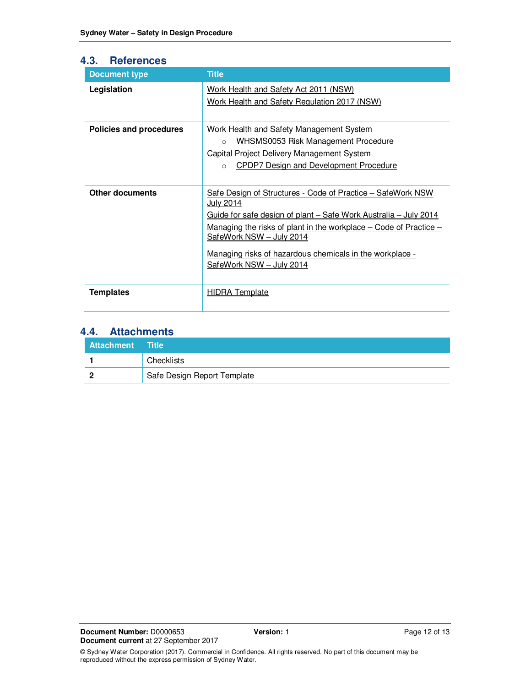#### **4.3. References**

| <b>Document type</b>    | <b>Title</b>                                                                                                                                                                                                                                                                                                                                        |  |
|-------------------------|-----------------------------------------------------------------------------------------------------------------------------------------------------------------------------------------------------------------------------------------------------------------------------------------------------------------------------------------------------|--|
| Legislation             | Work Health and Safety Act 2011 (NSW)<br>Work Health and Safety Regulation 2017 (NSW)                                                                                                                                                                                                                                                               |  |
| Policies and procedures | Work Health and Safety Management System<br><b>WHSMS0053 Risk Management Procedure</b><br>$\circ$<br>Capital Project Delivery Management System<br><b>CPDP7 Design and Development Procedure</b><br>$\circ$                                                                                                                                         |  |
| <b>Other documents</b>  | Safe Design of Structures - Code of Practice - SafeWork NSW<br>July 2014<br>Guide for safe design of plant – Safe Work Australia – July 2014<br><u>Managing the risks of plant in the workplace – Code of Practice –</u><br>SafeWork NSW - July 2014<br><u>Managing risks of hazardous chemicals in the workplace -</u><br>SafeWork NSW - July 2014 |  |
| <b>Templates</b>        | <b>HIDRA Template</b>                                                                                                                                                                                                                                                                                                                               |  |

## **4.4. Attachments**

| Attachment Title |                             |
|------------------|-----------------------------|
|                  | Checklists                  |
|                  | Safe Design Report Template |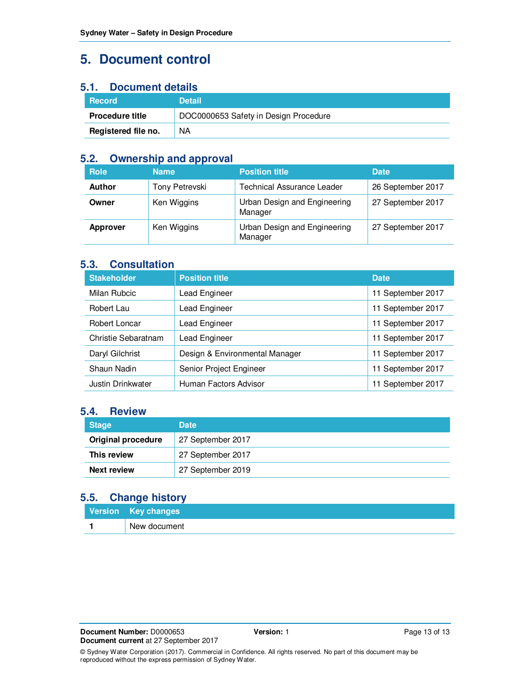## **5. Document control**

## **5.1. Document details**

| <b>Record</b>          | <b>Detail</b>                         |
|------------------------|---------------------------------------|
| <b>Procedure title</b> | DOC0000653 Safety in Design Procedure |
| Registered file no.    | <b>NA</b>                             |

#### **5.2. Ownership and approval**

| <b>Role</b>     | <b>Name</b>    | <b>Position title</b>                   | <b>Date</b>       |
|-----------------|----------------|-----------------------------------------|-------------------|
| <b>Author</b>   | Tony Petrevski | <b>Technical Assurance Leader</b>       | 26 September 2017 |
| Owner           | Ken Wiggins    | Urban Design and Engineering<br>Manager | 27 September 2017 |
| <b>Approver</b> | Ken Wiggins    | Urban Design and Engineering<br>Manager | 27 September 2017 |

#### **5.3. Consultation**

| <b>Stakeholder</b>                         | <b>Position title</b>          | <b>Date</b>       |
|--------------------------------------------|--------------------------------|-------------------|
| Milan Rubcic                               | Lead Engineer                  | 11 September 2017 |
| Robert Lau                                 | Lead Engineer                  | 11 September 2017 |
| Robert Loncar                              | Lead Engineer                  | 11 September 2017 |
| Christie Sebaratnam                        | Lead Engineer                  | 11 September 2017 |
| Daryl Gilchrist                            | Design & Environmental Manager | 11 September 2017 |
| Shaun Nadin                                | Senior Project Engineer        | 11 September 2017 |
| Human Factors Advisor<br>Justin Drinkwater |                                | 11 September 2017 |

#### **5.4. Review**

| <b>Stage</b>              | <b>Date</b>       |
|---------------------------|-------------------|
| <b>Original procedure</b> | 27 September 2017 |
| This review               | 27 September 2017 |
| <b>Next review</b>        | 27 September 2019 |

## **5.5. Change history**

| Version Key changes |
|---------------------|
| New document        |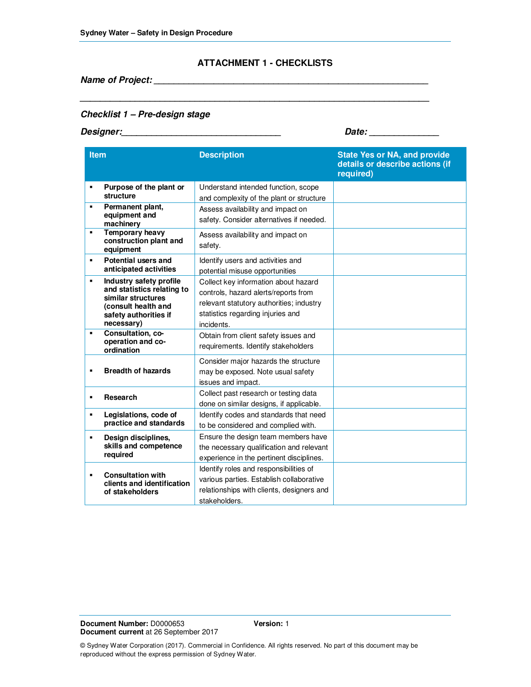#### **ATTACHMENT 1 - CHECKLISTS**

**\_\_\_\_\_\_\_\_\_\_\_\_\_\_\_\_\_\_\_\_\_\_\_\_\_\_\_\_\_\_\_\_\_\_\_\_\_\_\_\_\_\_\_\_\_\_\_\_\_\_\_\_\_\_\_\_\_\_\_\_\_\_\_\_\_\_\_\_\_\_** 

**Name of Project: \_\_\_\_\_\_\_\_\_\_\_\_\_\_\_\_\_\_\_\_\_\_\_\_\_\_\_\_\_\_\_\_\_\_\_\_\_\_\_\_\_\_\_\_\_\_\_\_\_\_\_\_\_\_\_** 

#### **Checklist 1 – Pre-design stage**

**Designer:\_\_\_\_\_\_\_\_\_\_\_\_\_\_\_\_\_\_\_\_\_\_\_\_\_\_\_\_\_\_\_\_ Date: \_\_\_\_\_\_\_\_\_\_\_\_\_\_** 

| <b>Item</b>    |                                                                                                                                           | <b>Description</b>                                                                                                                                                          | <b>State Yes or NA, and provide</b><br>details or describe actions (if<br>required) |
|----------------|-------------------------------------------------------------------------------------------------------------------------------------------|-----------------------------------------------------------------------------------------------------------------------------------------------------------------------------|-------------------------------------------------------------------------------------|
| $\blacksquare$ | Purpose of the plant or<br>structure                                                                                                      | Understand intended function, scope<br>and complexity of the plant or structure                                                                                             |                                                                                     |
| $\blacksquare$ | Permanent plant,<br>equipment and<br>machinery                                                                                            | Assess availability and impact on<br>safety. Consider alternatives if needed.                                                                                               |                                                                                     |
| ٠              | <b>Temporary heavy</b><br>construction plant and<br>equipment                                                                             | Assess availability and impact on<br>safety.                                                                                                                                |                                                                                     |
| $\blacksquare$ | Potential users and<br>anticipated activities                                                                                             | Identify users and activities and<br>potential misuse opportunities                                                                                                         |                                                                                     |
| $\blacksquare$ | Industry safety profile<br>and statistics relating to<br>similar structures<br>(consult health and<br>safety authorities if<br>necessary) | Collect key information about hazard<br>controls, hazard alerts/reports from<br>relevant statutory authorities; industry<br>statistics regarding injuries and<br>incidents. |                                                                                     |
| ٠              | Consultation, co-<br>operation and co-<br>ordination                                                                                      | Obtain from client safety issues and<br>requirements. Identify stakeholders                                                                                                 |                                                                                     |
| $\blacksquare$ | <b>Breadth of hazards</b>                                                                                                                 | Consider major hazards the structure<br>may be exposed. Note usual safety<br>issues and impact.                                                                             |                                                                                     |
| $\blacksquare$ | Research                                                                                                                                  | Collect past research or testing data<br>done on similar designs, if applicable.                                                                                            |                                                                                     |
| $\blacksquare$ | Legislations, code of<br>practice and standards                                                                                           | Identify codes and standards that need<br>to be considered and complied with.                                                                                               |                                                                                     |
| $\blacksquare$ | Design disciplines,<br>skills and competence<br>required                                                                                  | Ensure the design team members have<br>the necessary qualification and relevant<br>experience in the pertinent disciplines.                                                 |                                                                                     |
| ٠              | <b>Consultation with</b><br>clients and identification<br>of stakeholders                                                                 | Identify roles and responsibilities of<br>various parties. Establish collaborative<br>relationships with clients, designers and<br>stakeholders.                            |                                                                                     |

**Document Number:** D0000653 **Version:** 1 **Document current** at 26 September 2017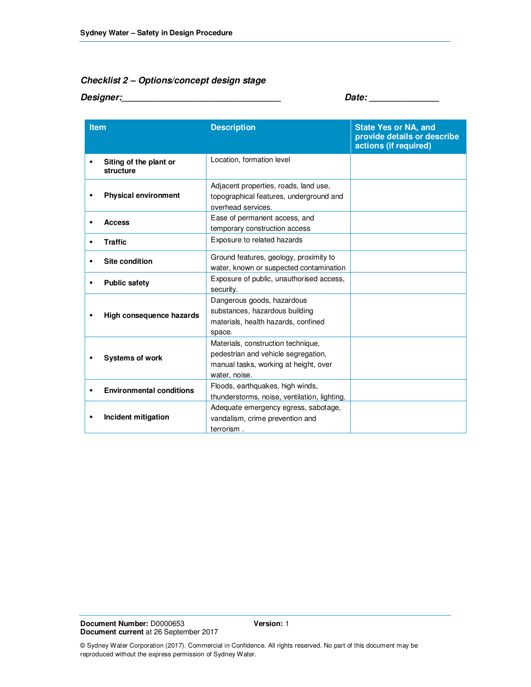#### **Checklist 2 – Options/concept design stage**

**Designer:\_\_\_\_\_\_\_\_\_\_\_\_\_\_\_\_\_\_\_\_\_\_\_\_\_\_\_\_\_\_\_\_ Date: \_\_\_\_\_\_\_\_\_\_\_\_\_\_** 

| <b>Item</b>                                | <b>Description</b>                                                                                                                  | <b>State Yes or NA, and</b><br>provide details or describe<br>actions (if required) |
|--------------------------------------------|-------------------------------------------------------------------------------------------------------------------------------------|-------------------------------------------------------------------------------------|
| Siting of the plant or<br>П<br>structure   | Location, formation level                                                                                                           |                                                                                     |
| <b>Physical environment</b><br>п           | Adjacent properties, roads, land use,<br>topographical features, underground and<br>overhead services.                              |                                                                                     |
| <b>Access</b><br>$\blacksquare$            | Ease of permanent access, and<br>temporary construction access                                                                      |                                                                                     |
| <b>Traffic</b><br>٠                        | Exposure to related hazards                                                                                                         |                                                                                     |
| <b>Site condition</b><br>٠                 | Ground features, geology, proximity to<br>water, known or suspected contamination                                                   |                                                                                     |
| <b>Public safety</b><br>п                  | Exposure of public, unauthorised access,<br>security.                                                                               |                                                                                     |
| High consequence hazards<br>$\blacksquare$ | Dangerous goods, hazardous<br>substances, hazardous building<br>materials, health hazards, confined<br>space.                       |                                                                                     |
| <b>Systems of work</b>                     | Materials, construction technique,<br>pedestrian and vehicle segregation,<br>manual tasks, working at height, over<br>water, noise. |                                                                                     |
| <b>Environmental conditions</b><br>П       | Floods, earthquakes, high winds,<br>thunderstorms, noise, ventilation, lighting.                                                    |                                                                                     |
| Incident mitigation<br>٠                   | Adequate emergency egress, sabotage,<br>vandalism, crime prevention and<br>terrorism.                                               |                                                                                     |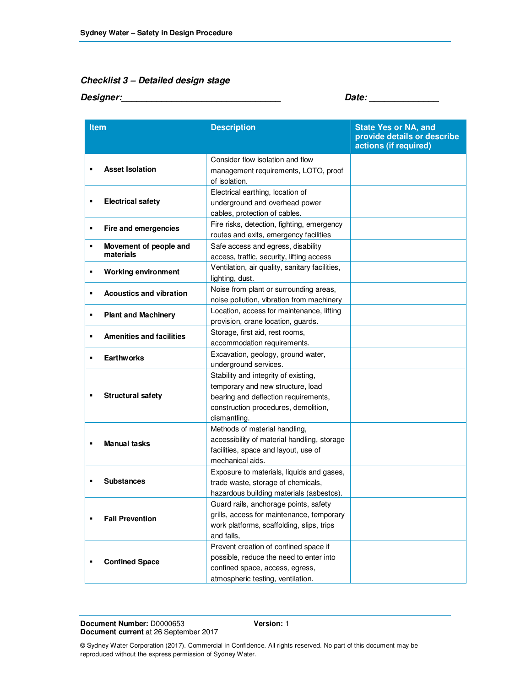#### **Checklist 3 – Detailed design stage**

**Designer:\_\_\_\_\_\_\_\_\_\_\_\_\_\_\_\_\_\_\_\_\_\_\_\_\_\_\_\_\_\_\_\_ Date: \_\_\_\_\_\_\_\_\_\_\_\_\_\_** 

| <b>Item</b> |                                     | <b>Description</b>                                                                                                                                                        | <b>State Yes or NA, and</b><br>provide details or describe<br>actions (if required) |
|-------------|-------------------------------------|---------------------------------------------------------------------------------------------------------------------------------------------------------------------------|-------------------------------------------------------------------------------------|
| в           | <b>Asset Isolation</b>              | Consider flow isolation and flow<br>management requirements, LOTO, proof<br>of isolation.                                                                                 |                                                                                     |
| П           | <b>Electrical safety</b>            | Electrical earthing, location of<br>underground and overhead power<br>cables, protection of cables.                                                                       |                                                                                     |
| Ξ           | Fire and emergencies                | Fire risks, detection, fighting, emergency<br>routes and exits, emergency facilities                                                                                      |                                                                                     |
| Ξ           | Movement of people and<br>materials | Safe access and egress, disability<br>access, traffic, security, lifting access                                                                                           |                                                                                     |
| п           | <b>Working environment</b>          | Ventilation, air quality, sanitary facilities,<br>lighting, dust.                                                                                                         |                                                                                     |
| п           | <b>Acoustics and vibration</b>      | Noise from plant or surrounding areas,<br>noise pollution, vibration from machinery                                                                                       |                                                                                     |
| П           | <b>Plant and Machinery</b>          | Location, access for maintenance, lifting<br>provision, crane location, guards.                                                                                           |                                                                                     |
| п           | <b>Amenities and facilities</b>     | Storage, first aid, rest rooms,<br>accommodation requirements.                                                                                                            |                                                                                     |
| п           | <b>Earthworks</b>                   | Excavation, geology, ground water,<br>underground services.                                                                                                               |                                                                                     |
|             | <b>Structural safety</b>            | Stability and integrity of existing,<br>temporary and new structure, load<br>bearing and deflection requirements,<br>construction procedures, demolition,<br>dismantling. |                                                                                     |
| ×           | <b>Manual tasks</b>                 | Methods of material handling,<br>accessibility of material handling, storage<br>facilities, space and layout, use of<br>mechanical aids.                                  |                                                                                     |
|             | <b>Substances</b>                   | Exposure to materials, liquids and gases,<br>trade waste, storage of chemicals,<br>hazardous building materials (asbestos).                                               |                                                                                     |
| г           | <b>Fall Prevention</b>              | Guard rails, anchorage points, safety<br>grills, access for maintenance, temporary<br>work platforms, scaffolding, slips, trips<br>and falls,                             |                                                                                     |
| П           | <b>Confined Space</b>               | Prevent creation of confined space if<br>possible, reduce the need to enter into<br>confined space, access, egress,<br>atmospheric testing, ventilation.                  |                                                                                     |

**Document Number:** D0000653 **Version:** 1 **Document current** at 26 September 2017